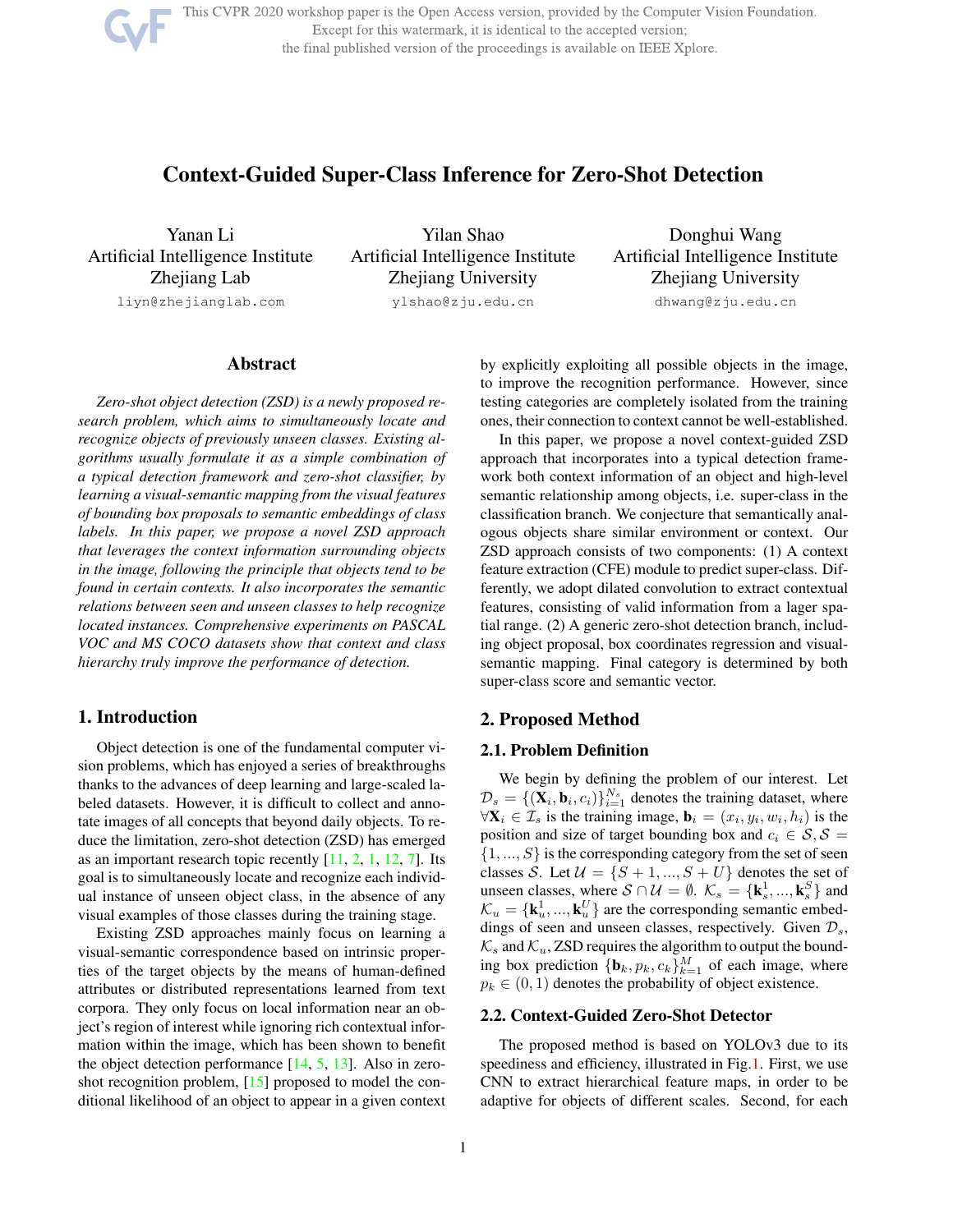This CVPR 2020 workshop paper is the Open Access version, provided by the Computer Vision Foundation. Except for this watermark, it is identical to the accepted version; the final published version of the proceedings is available on IEEE Xplore.

# Context-Guided Super-Class Inference for Zero-Shot Detection

Yanan Li Artificial Intelligence Institute Zhejiang Lab

liyn@zhejianglab.com

Yilan Shao Artificial Intelligence Institute Zhejiang University ylshao@zju.edu.cn

Donghui Wang Artificial Intelligence Institute Zhejiang University dhwang@zju.edu.cn

# Abstract

*Zero-shot object detection (ZSD) is a newly proposed research problem, which aims to simultaneously locate and recognize objects of previously unseen classes. Existing algorithms usually formulate it as a simple combination of a typical detection framework and zero-shot classifier, by learning a visual-semantic mapping from the visual features of bounding box proposals to semantic embeddings of class labels. In this paper, we propose a novel ZSD approach that leverages the context information surrounding objects in the image, following the principle that objects tend to be found in certain contexts. It also incorporates the semantic relations between seen and unseen classes to help recognize located instances. Comprehensive experiments on PASCAL VOC and MS COCO datasets show that context and class hierarchy truly improve the performance of detection.*

# 1. Introduction

Object detection is one of the fundamental computer vision problems, which has enjoyed a series of breakthroughs thanks to the advances of deep learning and large-scaled labeled datasets. However, it is difficult to collect and annotate images of all concepts that beyond daily objects. To reduce the limitation, zero-shot detection (ZSD) has emerged as an important research topic recently [11, 2, 1, 12, 7]. Its goal is to simultaneously locate and recognize each individual instance of unseen object class, in the absence of any visual examples of those classes during the training stage.

Existing ZSD approaches mainly focus on learning a visual-semantic correspondence based on intrinsic properties of the target objects by the means of human-defined attributes or distributed representations learned from text corpora. They only focus on local information near an object's region of interest while ignoring rich contextual information within the image, which has been shown to benefit the object detection performance  $[14, 5, 13]$ . Also in zeroshot recognition problem, [15] proposed to model the conditional likelihood of an object to appear in a given context by explicitly exploiting all possible objects in the image, to improve the recognition performance. However, since testing categories are completely isolated from the training ones, their connection to context cannot be well-established.

In this paper, we propose a novel context-guided ZSD approach that incorporates into a typical detection framework both context information of an object and high-level semantic relationship among objects, i.e. super-class in the classification branch. We conjecture that semantically analogous objects share similar environment or context. Our ZSD approach consists of two components: (1) A context feature extraction (CFE) module to predict super-class. Differently, we adopt dilated convolution to extract contextual features, consisting of valid information from a lager spatial range. (2) A generic zero-shot detection branch, including object proposal, box coordinates regression and visualsemantic mapping. Final category is determined by both super-class score and semantic vector.

### 2. Proposed Method

#### 2.1. Problem Definition

We begin by defining the problem of our interest. Let  $\mathcal{D}_s = \{ (\mathbf{X}_i, \mathbf{b}_i, c_i) \}_{i=1}^{N_s}$  denotes the training dataset, where  $\forall \mathbf{X}_i \in \mathcal{I}_s$  is the training image,  $\mathbf{b}_i = (x_i, y_i, w_i, h_i)$  is the position and size of target bounding box and  $c_i \in S, S =$  $\{1, ..., S\}$  is the corresponding category from the set of seen classes S. Let  $\mathcal{U} = \{S+1, ..., S+U\}$  denotes the set of unseen classes, where  $S \cap \mathcal{U} = \emptyset$ .  $\mathcal{K}_s = {\mathbf{k}_s^1}$  $\left\{\mathbf{k}, \ldots, \mathbf{k}_{s}^{S}\right\}$  and  $\mathcal{K}_u = \{\mathbf{k}_u^1$  $\{u_1^1, ..., \mathbf{k}_u^U\}$  are the corresponding semantic embeddings of seen and unseen classes, respectively. Given  $\mathcal{D}_s$ ,  $\mathcal{K}_s$  and  $\mathcal{K}_u$ , ZSD requires the algorithm to output the bounding box prediction  ${\{\mathbf{b}_k, p_k, c_k\}}_{k=1}^M$  of each image, where  $p_k \in (0, 1)$  denotes the probability of object existence.

# 2.2. Context-Guided Zero-Shot Detector

The proposed method is based on YOLOv3 due to its speediness and efficiency, illustrated in Fig.1. First, we use CNN to extract hierarchical feature maps, in order to be adaptive for objects of different scales. Second, for each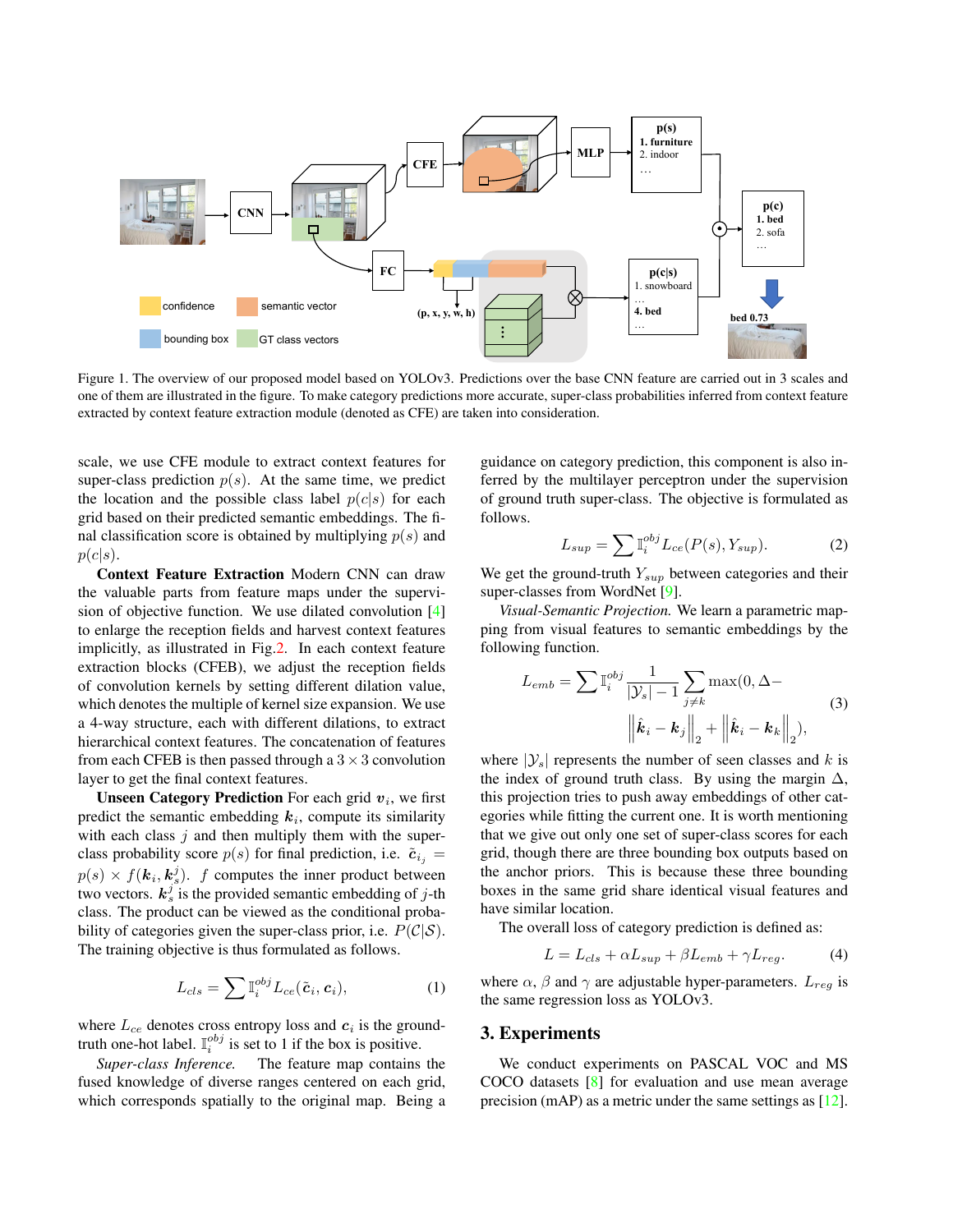

Figure 1. The overview of our proposed model based on YOLOv3. Predictions over the base CNN feature are carried out in 3 scales and one of them are illustrated in the figure. To make category predictions more accurate, super-class probabilities inferred from context feature extracted by context feature extraction module (denoted as CFE) are taken into consideration.

scale, we use CFE module to extract context features for super-class prediction  $p(s)$ . At the same time, we predict the location and the possible class label  $p(c|s)$  for each grid based on their predicted semantic embeddings. The final classification score is obtained by multiplying  $p(s)$  and  $p(c|s)$ .

Context Feature Extraction Modern CNN can draw the valuable parts from feature maps under the supervision of objective function. We use dilated convolution [4] to enlarge the reception fields and harvest context features implicitly, as illustrated in Fig.2. In each context feature extraction blocks (CFEB), we adjust the reception fields of convolution kernels by setting different dilation value, which denotes the multiple of kernel size expansion. We use a 4-way structure, each with different dilations, to extract hierarchical context features. The concatenation of features from each CFEB is then passed through a  $3 \times 3$  convolution layer to get the final context features.

Unseen Category Prediction For each grid  $v_i$ , we first predict the semantic embedding  $k_i$ , compute its similarity with each class  $j$  and then multiply them with the superclass probability score  $p(s)$  for final prediction, i.e.  $\tilde{c}_{i_j} =$  $p(s) \times f(\mathbf{k}_i, \mathbf{k}_s^j)$ . f computes the inner product between two vectors.  $k_s^j$  is the provided semantic embedding of j-th class. The product can be viewed as the conditional probability of categories given the super-class prior, i.e.  $P(\mathcal{C}|\mathcal{S})$ . The training objective is thus formulated as follows.

$$
L_{cls} = \sum \mathbb{I}_i^{obj} L_{ce}(\tilde{\mathbf{c}}_i, \mathbf{c}_i), \tag{1}
$$

where  $L_{ce}$  denotes cross entropy loss and  $c_i$  is the groundtruth one-hot label.  $\mathbb{I}_i^{obj}$  is set to 1 if the box is positive.

*Super-class Inference.* The feature map contains the fused knowledge of diverse ranges centered on each grid, which corresponds spatially to the original map. Being a guidance on category prediction, this component is also inferred by the multilayer perceptron under the supervision of ground truth super-class. The objective is formulated as follows.

$$
L_{sup} = \sum \mathbb{I}_i^{obj} L_{ce}(P(s), Y_{sup}). \tag{2}
$$

We get the ground-truth  $Y_{sup}$  between categories and their super-classes from WordNet [9].

*Visual-Semantic Projection.* We learn a parametric mapping from visual features to semantic embeddings by the following function.

$$
L_{emb} = \sum \mathbb{I}_{i}^{obj} \frac{1}{|\mathcal{Y}_{s}| - 1} \sum_{j \neq k} \max(0, \Delta -
$$

$$
\left\| \hat{k}_{i} - \mathbf{k}_{j} \right\|_{2} + \left\| \hat{k}_{i} - \mathbf{k}_{k} \right\|_{2}),
$$
(3)

where  $|\mathcal{Y}_s|$  represents the number of seen classes and k is the index of ground truth class. By using the margin  $\Delta$ , this projection tries to push away embeddings of other categories while fitting the current one. It is worth mentioning that we give out only one set of super-class scores for each grid, though there are three bounding box outputs based on the anchor priors. This is because these three bounding boxes in the same grid share identical visual features and have similar location.

The overall loss of category prediction is defined as:

$$
L = L_{cls} + \alpha L_{sup} + \beta L_{emb} + \gamma L_{reg}.
$$
 (4)

where  $\alpha$ ,  $\beta$  and  $\gamma$  are adjustable hyper-parameters.  $L_{reg}$  is the same regression loss as YOLOv3.

### 3. Experiments

We conduct experiments on PASCAL VOC and MS COCO datasets [8] for evaluation and use mean average precision (mAP) as a metric under the same settings as [12].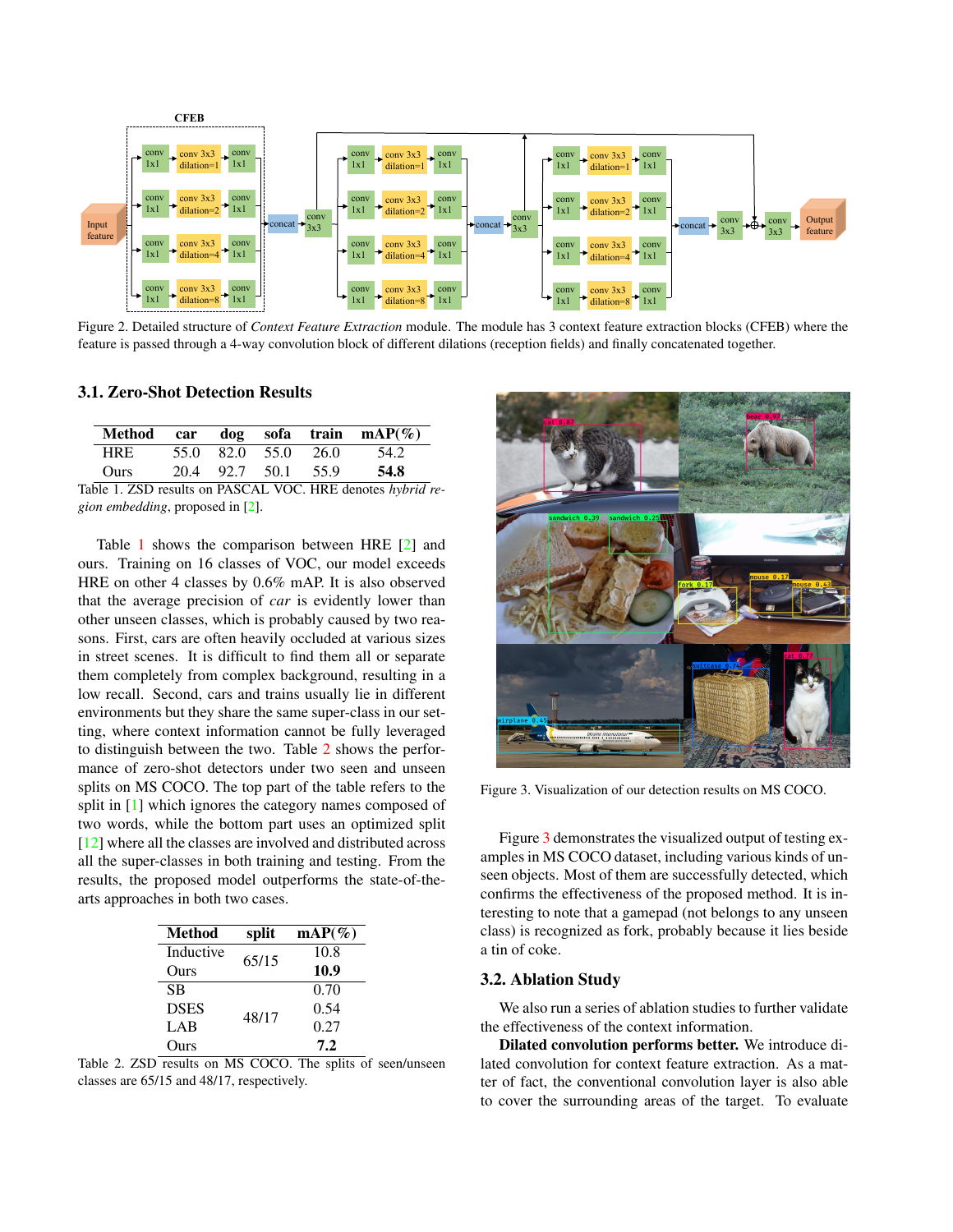

Figure 2. Detailed structure of *Context Feature Extraction* module. The module has 3 context feature extraction blocks (CFEB) where the feature is passed through a 4-way convolution block of different dilations (reception fields) and finally concatenated together.

#### 3.1. Zero-Shot Detection Results

|             |  |  |                     |  | Method car dog sofa train $mAP(\%)$ |
|-------------|--|--|---------------------|--|-------------------------------------|
| <b>HRE</b>  |  |  | 55.0 82.0 55.0 26.0 |  | 54.2                                |
| <b>Ours</b> |  |  | 20.4 92.7 50.1 55.9 |  | 54.8                                |
|             |  |  |                     |  |                                     |

Table 1. ZSD results on PASCAL VOC. HRE denotes *hybrid region embedding*, proposed in [2].

Table 1 shows the comparison between HRE [2] and ours. Training on 16 classes of VOC, our model exceeds HRE on other 4 classes by 0.6% mAP. It is also observed that the average precision of *car* is evidently lower than other unseen classes, which is probably caused by two reasons. First, cars are often heavily occluded at various sizes in street scenes. It is difficult to find them all or separate them completely from complex background, resulting in a low recall. Second, cars and trains usually lie in different environments but they share the same super-class in our setting, where context information cannot be fully leveraged to distinguish between the two. Table 2 shows the performance of zero-shot detectors under two seen and unseen splits on MS COCO. The top part of the table refers to the split in [1] which ignores the category names composed of two words, while the bottom part uses an optimized split [12] where all the classes are involved and distributed across all the super-classes in both training and testing. From the results, the proposed model outperforms the state-of-thearts approaches in both two cases.

| Method      | split | $\text{mAP}(\%)$ |
|-------------|-------|------------------|
| Inductive   | 65/15 | 10.8             |
| Ours        |       | 10.9             |
| <b>SB</b>   |       | 0.70             |
| <b>DSES</b> | 48/17 | 0.54             |
| LAB         |       | 0.27             |
| Ours        |       | 7.2              |

Table 2. ZSD results on MS COCO. The splits of seen/unseen classes are 65/15 and 48/17, respectively.



Figure 3. Visualization of our detection results on MS COCO.

Figure 3 demonstrates the visualized output of testing examples in MS COCO dataset, including various kinds of unseen objects. Most of them are successfully detected, which confirms the effectiveness of the proposed method. It is interesting to note that a gamepad (not belongs to any unseen class) is recognized as fork, probably because it lies beside a tin of coke.

#### 3.2. Ablation Study

We also run a series of ablation studies to further validate the effectiveness of the context information.

Dilated convolution performs better. We introduce dilated convolution for context feature extraction. As a matter of fact, the conventional convolution layer is also able to cover the surrounding areas of the target. To evaluate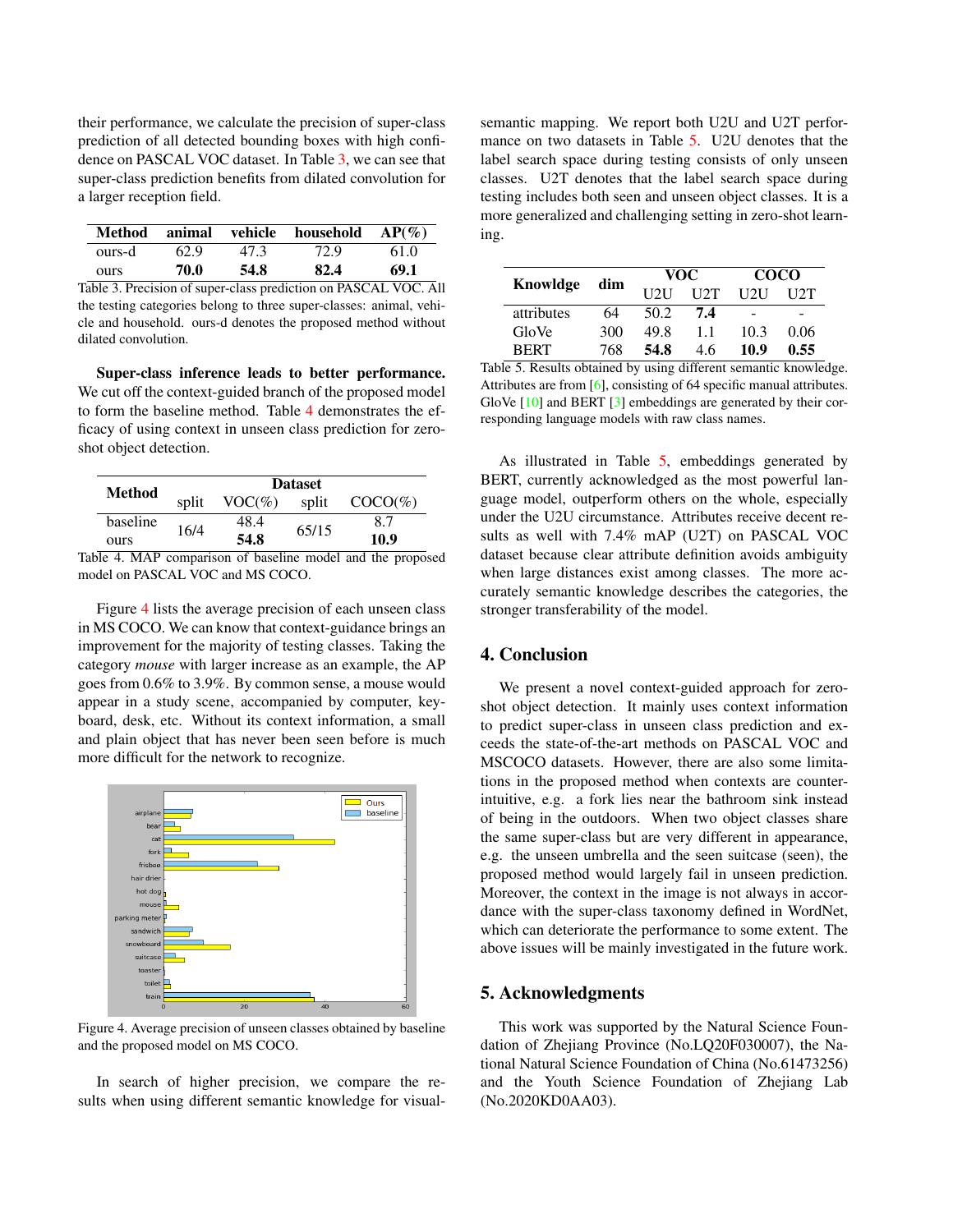their performance, we calculate the precision of super-class prediction of all detected bounding boxes with high confidence on PASCAL VOC dataset. In Table 3, we can see that super-class prediction benefits from dilated convolution for a larger reception field.

| Method |      | animal vehicle | household | $AP(\%)$ |
|--------|------|----------------|-----------|----------|
| ours-d | 62.9 | 47.3           | 72.9      | 61.0     |
| ours   | 70.0 | 54.8           | 82.4      | 69.1     |

Table 3. Precision of super-class prediction on PASCAL VOC. All the testing categories belong to three super-classes: animal, vehicle and household. ours-d denotes the proposed method without dilated convolution.

Super-class inference leads to better performance. We cut off the context-guided branch of the proposed model to form the baseline method. Table 4 demonstrates the efficacy of using context in unseen class prediction for zeroshot object detection.

| Method     | <b>Dataset</b> |              |       |            |
|------------|----------------|--------------|-------|------------|
|            | split          | $VOC(\%)$    | split | $COCO(\%)$ |
| baseline   | 16/4           | 48.4         | 65/15 | 8.7        |
| ours       |                | 54.8         |       | 10.9       |
| $\sqrt{1}$ |                | $^{\circ}$ 1 |       | 1.1        |

Table 4. MAP comparison of baseline model and the proposed model on PASCAL VOC and MS COCO.

Figure 4 lists the average precision of each unseen class in MS COCO. We can know that context-guidance brings an improvement for the majority of testing classes. Taking the category *mouse* with larger increase as an example, the AP goes from 0.6% to 3.9%. By common sense, a mouse would appear in a study scene, accompanied by computer, keyboard, desk, etc. Without its context information, a small and plain object that has never been seen before is much more difficult for the network to recognize.



Figure 4. Average precision of unseen classes obtained by baseline and the proposed model on MS COCO.

In search of higher precision, we compare the results when using different semantic knowledge for visualsemantic mapping. We report both U2U and U2T performance on two datasets in Table 5. U2U denotes that the label search space during testing consists of only unseen classes. U2T denotes that the label search space during testing includes both seen and unseen object classes. It is a more generalized and challenging setting in zero-shot learning.

|             | dim | VOC   |      | <b>COCO</b> |      |
|-------------|-----|-------|------|-------------|------|
| Knowldge    |     | 11211 | 112T | Н2Н         | U2T  |
| attributes  | 64  | 50 2. | 7.4  | -           | -    |
| GloVe       | 300 | 49.8  | 11   | 10.3        | 0.06 |
| <b>BERT</b> | 768 | 54.8  | 46   | 10.9        | 0.55 |

Table 5. Results obtained by using different semantic knowledge. Attributes are from [6], consisting of 64 specific manual attributes. GloVe  $[10]$  and BERT  $[3]$  embeddings are generated by their corresponding language models with raw class names.

As illustrated in Table 5, embeddings generated by BERT, currently acknowledged as the most powerful language model, outperform others on the whole, especially under the U2U circumstance. Attributes receive decent results as well with 7.4% mAP (U2T) on PASCAL VOC dataset because clear attribute definition avoids ambiguity when large distances exist among classes. The more accurately semantic knowledge describes the categories, the stronger transferability of the model.

# 4. Conclusion

We present a novel context-guided approach for zeroshot object detection. It mainly uses context information to predict super-class in unseen class prediction and exceeds the state-of-the-art methods on PASCAL VOC and MSCOCO datasets. However, there are also some limitations in the proposed method when contexts are counterintuitive, e.g. a fork lies near the bathroom sink instead of being in the outdoors. When two object classes share the same super-class but are very different in appearance, e.g. the unseen umbrella and the seen suitcase (seen), the proposed method would largely fail in unseen prediction. Moreover, the context in the image is not always in accordance with the super-class taxonomy defined in WordNet, which can deteriorate the performance to some extent. The above issues will be mainly investigated in the future work.

### 5. Acknowledgments

This work was supported by the Natural Science Foundation of Zhejiang Province (No.LQ20F030007), the National Natural Science Foundation of China (No.61473256) and the Youth Science Foundation of Zhejiang Lab (No.2020KD0AA03).